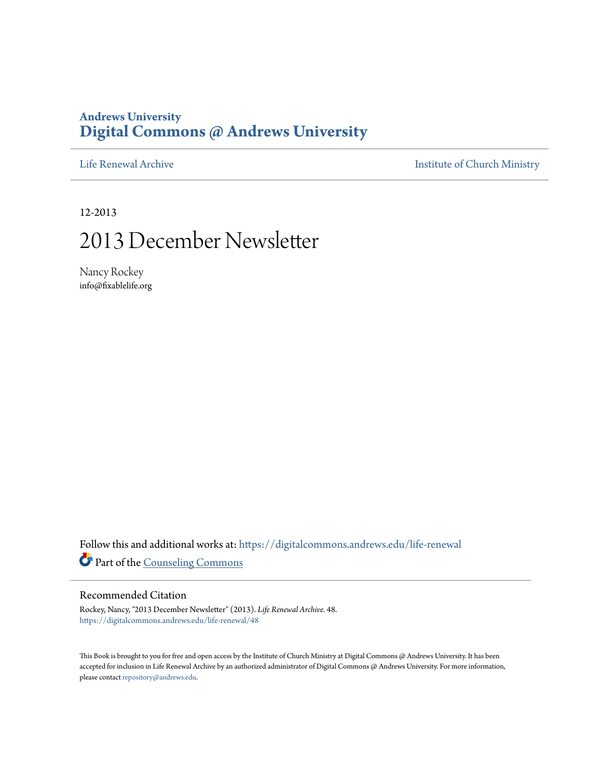## **Andrews University [Digital Commons @ Andrews University](https://digitalcommons.andrews.edu/?utm_source=digitalcommons.andrews.edu%2Flife-renewal%2F48&utm_medium=PDF&utm_campaign=PDFCoverPages)**

[Life Renewal Archive](https://digitalcommons.andrews.edu/life-renewal?utm_source=digitalcommons.andrews.edu%2Flife-renewal%2F48&utm_medium=PDF&utm_campaign=PDFCoverPages) **[Institute of Church Ministry](https://digitalcommons.andrews.edu/icm?utm_source=digitalcommons.andrews.edu%2Flife-renewal%2F48&utm_medium=PDF&utm_campaign=PDFCoverPages)** 

12-2013

## 2013 December Newsletter

Nancy Rockey info@fixablelife.org

Follow this and additional works at: [https://digitalcommons.andrews.edu/life-renewal](https://digitalcommons.andrews.edu/life-renewal?utm_source=digitalcommons.andrews.edu%2Flife-renewal%2F48&utm_medium=PDF&utm_campaign=PDFCoverPages) Part of the [Counseling Commons](http://network.bepress.com/hgg/discipline/1268?utm_source=digitalcommons.andrews.edu%2Flife-renewal%2F48&utm_medium=PDF&utm_campaign=PDFCoverPages)

#### Recommended Citation

Rockey, Nancy, "2013 December Newsletter" (2013). *Life Renewal Archive*. 48. [https://digitalcommons.andrews.edu/life-renewal/48](https://digitalcommons.andrews.edu/life-renewal/48?utm_source=digitalcommons.andrews.edu%2Flife-renewal%2F48&utm_medium=PDF&utm_campaign=PDFCoverPages)

This Book is brought to you for free and open access by the Institute of Church Ministry at Digital Commons @ Andrews University. It has been accepted for inclusion in Life Renewal Archive by an authorized administrator of Digital Commons @ Andrews University. For more information, please contact [repository@andrews.edu.](mailto:repository@andrews.edu)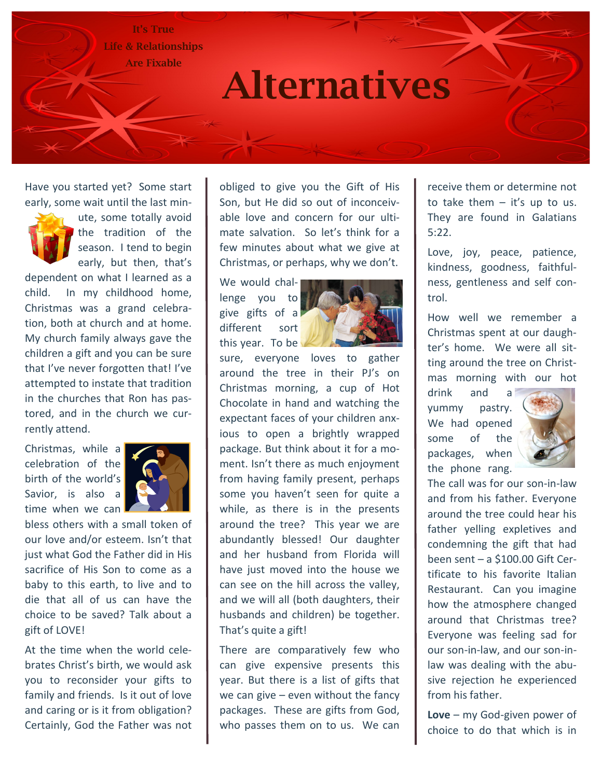It's True Life & Relationships Are Fixable

# Alternatives

Have you started yet? Some start early, some wait until the last min-



ute, some totally avoid the tradition of the season. I tend to begin early, but then, that's

dependent on what I learned as a child. In my childhood home, Christmas was a grand celebration, both at church and at home. My church family always gave the children a gift and you can be sure that I've never forgotten that! I've attempted to instate that tradition in the churches that Ron has pastored, and in the church we currently attend.

Christmas, while a celebration of the birth of the world's Savior, is also a time when we can



bless others with a small token of our love and/or esteem. Isn't that just what God the Father did in His sacrifice of His Son to come as a baby to this earth, to live and to die that all of us can have the choice to be saved? Talk about a gift of LOVE!

At the time when the world celebrates Christ's birth, we would ask you to reconsider your gifts to family and friends. Is it out of love and caring or is it from obligation? Certainly, God the Father was not obliged to give you the Gift of His Son, but He did so out of inconceivable love and concern for our ultimate salvation. So let's think for a few minutes about what we give at Christmas, or perhaps, why we don't.

We would challenge you to give gifts of a different sort this year. To be



sure, everyone loves to gather around the tree in their PJ's on Christmas morning, a cup of Hot Chocolate in hand and watching the expectant faces of your children anxious to open a brightly wrapped package. But think about it for a moment. Isn't there as much enjoyment from having family present, perhaps some you haven't seen for quite a while, as there is in the presents around the tree? This year we are abundantly blessed! Our daughter and her husband from Florida will have just moved into the house we can see on the hill across the valley, and we will all (both daughters, their husbands and children) be together. That's quite a gift!

There are comparatively few who can give expensive presents this year. But there is a list of gifts that we can give  $-$  even without the fancy packages. These are gifts from God, who passes them on to us. We can

receive them or determine not to take them  $-$  it's up to us. They are found in Galatians 5:22.

Love, joy, peace, patience, kindness, goodness, faithfulness, gentleness and self control.

How well we remember a Christmas spent at our daughter's home. We were all sitting around the tree on Christmas morning with our hot

drink and a yummy pastry. We had opened some of the packages, when the phone rang.



The call was for our son-in-law and from his father. Everyone around the tree could hear his father yelling expletives and condemning the gift that had been sent – a \$100.00 Gift Certificate to his favorite Italian Restaurant. Can you imagine how the atmosphere changed around that Christmas tree? Everyone was feeling sad for our son-in-law, and our son-inlaw was dealing with the abusive rejection he experienced from his father.

**Love** – my God-given power of choice to do that which is in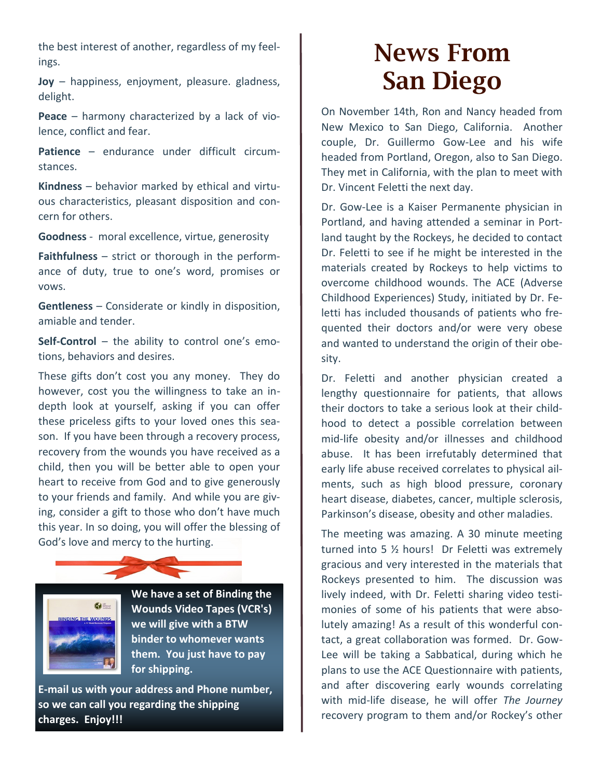the best interest of another, regardless of my feelings.

**Joy** – happiness, enjoyment, pleasure. gladness, delight.

**Peace** – harmony characterized by a lack of violence, conflict and fear.

Patience – endurance under difficult circumstances.

**Kindness** – behavior marked by ethical and virtuous characteristics, pleasant disposition and concern for others.

**Goodness** - moral excellence, virtue, generosity

**Faithfulness** – strict or thorough in the performance of duty, true to one's word, promises or vows.

**Gentleness** – Considerate or kindly in disposition, amiable and tender.

**Self-Control** – the ability to control one's emotions, behaviors and desires.

These gifts don't cost you any money. They do however, cost you the willingness to take an indepth look at yourself, asking if you can offer these priceless gifts to your loved ones this season. If you have been through a recovery process, recovery from the wounds you have received as a child, then you will be better able to open your heart to receive from God and to give generously to your friends and family. And while you are giving, consider a gift to those who don't have much this year. In so doing, you will offer the blessing of God's love and mercy to the hurting.



**We have a set of Binding the Wounds Video Tapes (VCR's) we will give with a BTW binder to whomever wants them. You just have to pay for shipping.**

**E-mail us with your address and Phone number, so we can call you regarding the shipping charges. Enjoy!!!** 

# News From San Diego

On November 14th, Ron and Nancy headed from New Mexico to San Diego, California. Another couple, Dr. Guillermo Gow-Lee and his wife headed from Portland, Oregon, also to San Diego. They met in California, with the plan to meet with Dr. Vincent Feletti the next day.

Dr. Gow-Lee is a Kaiser Permanente physician in Portland, and having attended a seminar in Portland taught by the Rockeys, he decided to contact Dr. Feletti to see if he might be interested in the materials created by Rockeys to help victims to overcome childhood wounds. The ACE (Adverse Childhood Experiences) Study, initiated by Dr. Feletti has included thousands of patients who frequented their doctors and/or were very obese and wanted to understand the origin of their obesity.

Dr. Feletti and another physician created a lengthy questionnaire for patients, that allows their doctors to take a serious look at their childhood to detect a possible correlation between mid-life obesity and/or illnesses and childhood abuse. It has been irrefutably determined that early life abuse received correlates to physical ailments, such as high blood pressure, coronary heart disease, diabetes, cancer, multiple sclerosis, Parkinson's disease, obesity and other maladies.

The meeting was amazing. A 30 minute meeting turned into 5 ½ hours! Dr Feletti was extremely gracious and very interested in the materials that Rockeys presented to him. The discussion was lively indeed, with Dr. Feletti sharing video testimonies of some of his patients that were absolutely amazing! As a result of this wonderful contact, a great collaboration was formed. Dr. Gow-Lee will be taking a Sabbatical, during which he plans to use the ACE Questionnaire with patients, and after discovering early wounds correlating with mid-life disease, he will offer *The Journey* recovery program to them and/or Rockey's other